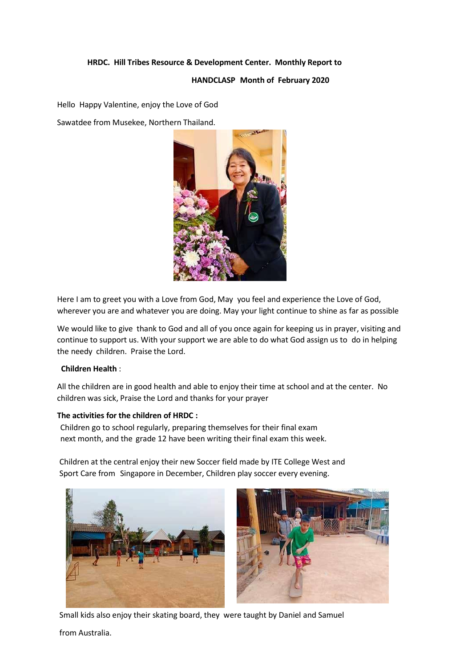# **HRDC. Hill Tribes Resource & Development Center. Monthly Report to**

## **HANDCLASP Month of February 2020**

Hello Happy Valentine, enjoy the Love of God

Sawatdee from Musekee, Northern Thailand.



Here I am to greet you with a Love from God, May you feel and experience the Love of God, wherever you are and whatever you are doing. May your light continue to shine as far as possible

We would like to give thank to God and all of you once again for keeping us in prayer, visiting and continue to support us. With your support we are able to do what God assign us to do in helping the needy children. Praise the Lord.

## **Children Health** :

All the children are in good health and able to enjoy their time at school and at the center. No children was sick, Praise the Lord and thanks for your prayer

#### **The activities for the children of HRDC :**

Children go to school regularly, preparing themselves for their final exam next month, and the grade 12 have been writing their final exam this week.

Children at the central enjoy their new Soccer field made by ITE College West and Sport Care from Singapore in December, Children play soccer every evening.



Small kids also enjoy their skating board, they were taught by Daniel and Samuel

from Australia.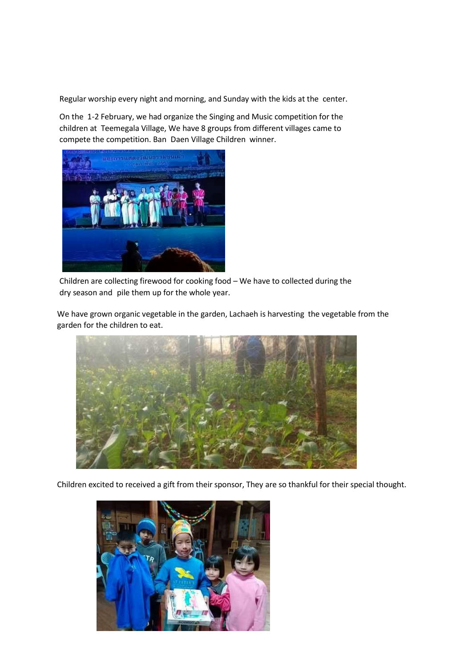Regular worship every night and morning, and Sunday with the kids at the center.

On the 1-2 February, we had organize the Singing and Music competition for the children at Teemegala Village, We have 8 groups from different villages came to compete the competition. Ban Daen Village Children winner.



Children are collecting firewood for cooking food – We have to collected during the dry season and pile them up for the whole year.

We have grown organic vegetable in the garden, Lachaeh is harvesting the vegetable from the garden for the children to eat.



Children excited to received a gift from their sponsor, They are so thankful for their special thought.

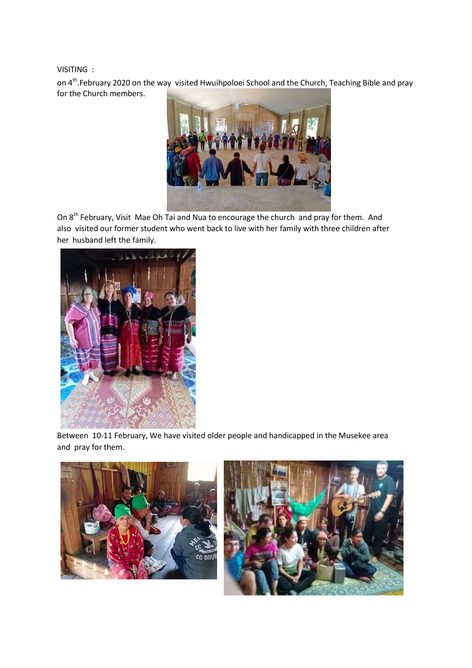VISITING :

on 4<sup>th</sup>.February 2020 on the way visited Hwuihpoloei School and the Church, Teaching Bible and pray for the Church members.



On 8<sup>th</sup> February, Visit Mae Oh Tai and Nua to encourage the church and pray for them. And also visited our former student who went back to live with her family with three children after her husband left the family.



Between 10-11 February, We have visited older people and handicapped in the Musekee area and pray for them.



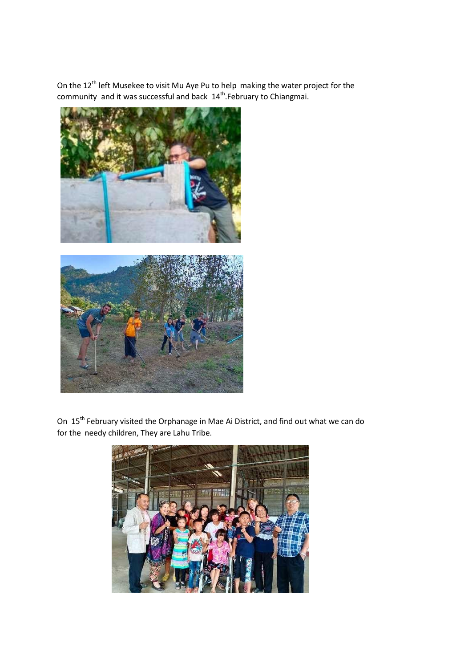On the  $12^{th}$  left Musekee to visit Mu Aye Pu to help making the water project for the community and it was successful and back 14<sup>th</sup>.February to Chiangmai.





On 15<sup>th</sup> February visited the Orphanage in Mae Ai District, and find out what we can do for the needy children, They are Lahu Tribe.